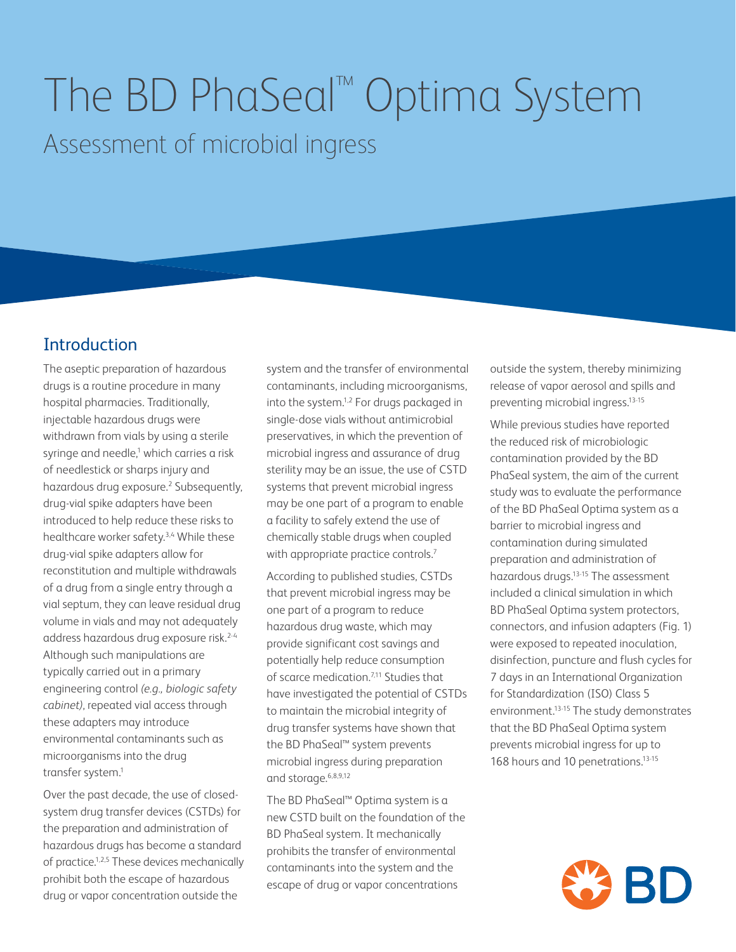# The BD PhaSeal™ Optima System Assessment of microbial ingress

## **Introduction**

The aseptic preparation of hazardous drugs is a routine procedure in many hospital pharmacies. Traditionally, injectable hazardous drugs were withdrawn from vials by using a sterile syringe and needle,<sup>1</sup> which carries a risk of needlestick or sharps injury and hazardous drug exposure.<sup>2</sup> Subsequently, drug-vial spike adapters have been introduced to help reduce these risks to healthcare worker safety.<sup>3,4</sup> While these drug-vial spike adapters allow for reconstitution and multiple withdrawals of a drug from a single entry through a vial septum, they can leave residual drug volume in vials and may not adequately address hazardous drug exposure risk.2-4 Although such manipulations are typically carried out in a primary engineering control *(e.g., biologic safety cabinet)*, repeated vial access through these adapters may introduce environmental contaminants such as microorganisms into the drug transfer system.1

Over the past decade, the use of closedsystem drug transfer devices (CSTDs) for the preparation and administration of hazardous drugs has become a standard of practice.<sup>1,2,5</sup> These devices mechanically prohibit both the escape of hazardous drug or vapor concentration outside the

system and the transfer of environmental contaminants, including microorganisms, into the system.<sup>1,2</sup> For drugs packaged in single-dose vials without antimicrobial preservatives, in which the prevention of microbial ingress and assurance of drug sterility may be an issue, the use of CSTD systems that prevent microbial ingress may be one part of a program to enable a facility to safely extend the use of chemically stable drugs when coupled with appropriate practice controls.<sup>7</sup>

According to published studies, CSTDs that prevent microbial ingress may be one part of a program to reduce hazardous drug waste, which may provide significant cost savings and potentially help reduce consumption of scarce medication.<sup>7,11</sup> Studies that have investigated the potential of CSTDs to maintain the microbial integrity of drug transfer systems have shown that the BD PhaSeal™ system prevents microbial ingress during preparation and storage.6,8,9,12

The BD PhaSeal™ Optima system is a new CSTD built on the foundation of the BD PhaSeal system. It mechanically prohibits the transfer of environmental contaminants into the system and the escape of drug or vapor concentrations

outside the system, thereby minimizing release of vapor aerosol and spills and preventing microbial ingress.13-15

While previous studies have reported the reduced risk of microbiologic contamination provided by the BD PhaSeal system, the aim of the current study was to evaluate the performance of the BD PhaSeal Optima system as a barrier to microbial ingress and contamination during simulated preparation and administration of hazardous drugs.13-15 The assessment included a clinical simulation in which BD PhaSeal Optima system protectors, connectors, and infusion adapters (Fig. 1) were exposed to repeated inoculation, disinfection, puncture and flush cycles for 7 days in an International Organization for Standardization (ISO) Class 5 environment.<sup>13-15</sup> The study demonstrates that the BD PhaSeal Optima system prevents microbial ingress for up to 168 hours and 10 penetrations.<sup>13-15</sup>

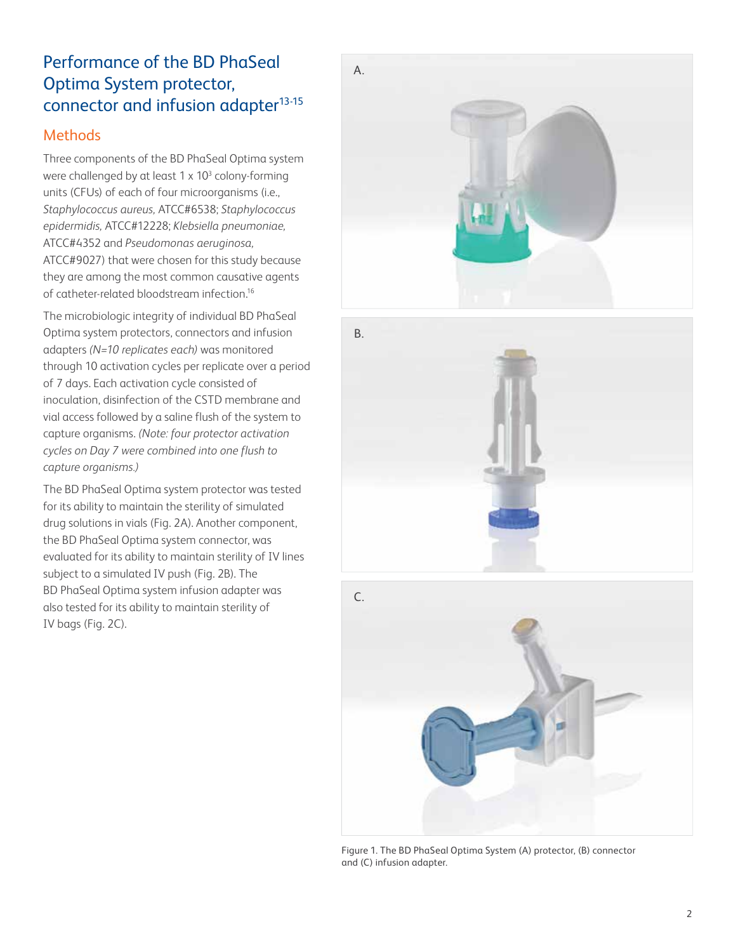# Performance of the BD PhaSeal Optima System protector, connector and infusion adapter<sup>13-15</sup>

#### Methods

Three components of the BD PhaSeal Optima system were challenged by at least  $1 \times 10^3$  colony-forming units (CFUs) of each of four microorganisms (i.e., *Staphylococcus aureus,* ATCC#6538; *Staphylococcus epidermidis,* ATCC#12228; *Klebsiella pneumoniae,* ATCC#4352 and *Pseudomonas aeruginosa,*  ATCC#9027) that were chosen for this study because they are among the most common causative agents of catheter-related bloodstream infection.16

The microbiologic integrity of individual BD PhaSeal Optima system protectors, connectors and infusion adapters *(N=10 replicates each)* was monitored through 10 activation cycles per replicate over a period of 7 days. Each activation cycle consisted of inoculation, disinfection of the CSTD membrane and vial access followed by a saline flush of the system to capture organisms. *(Note: four protector activation cycles on Day 7 were combined into one flush to capture organisms.)*

The BD PhaSeal Optima system protector was tested for its ability to maintain the sterility of simulated drug solutions in vials (Fig. 2A). Another component, the BD PhaSeal Optima system connector, was evaluated for its ability to maintain sterility of IV lines subject to a simulated IV push (Fig. 2B). The BD PhaSeal Optima system infusion adapter was also tested for its ability to maintain sterility of IV bags (Fig. 2C).







Figure 1. The BD PhaSeal Optima System (A) protector, (B) connector and (C) infusion adapter.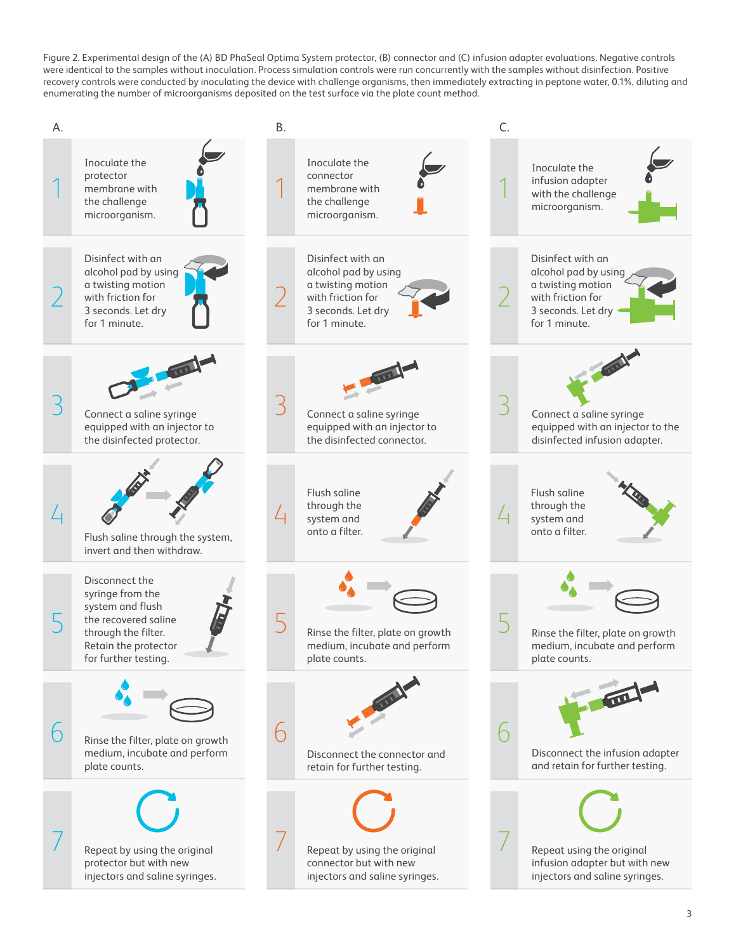Figure 2. Experimental design of the (A) BD PhaSeal Optima System protector, (B) connector and (C) infusion adapter evaluations. Negative controls were identical to the samples without inoculation. Process simulation controls were run concurrently with the samples without disinfection. Positive recovery controls were conducted by inoculating the device with challenge organisms, then immediately extracting in peptone water, 0.1%, diluting and enumerating the number of microorganisms deposited on the test surface via the plate count method.

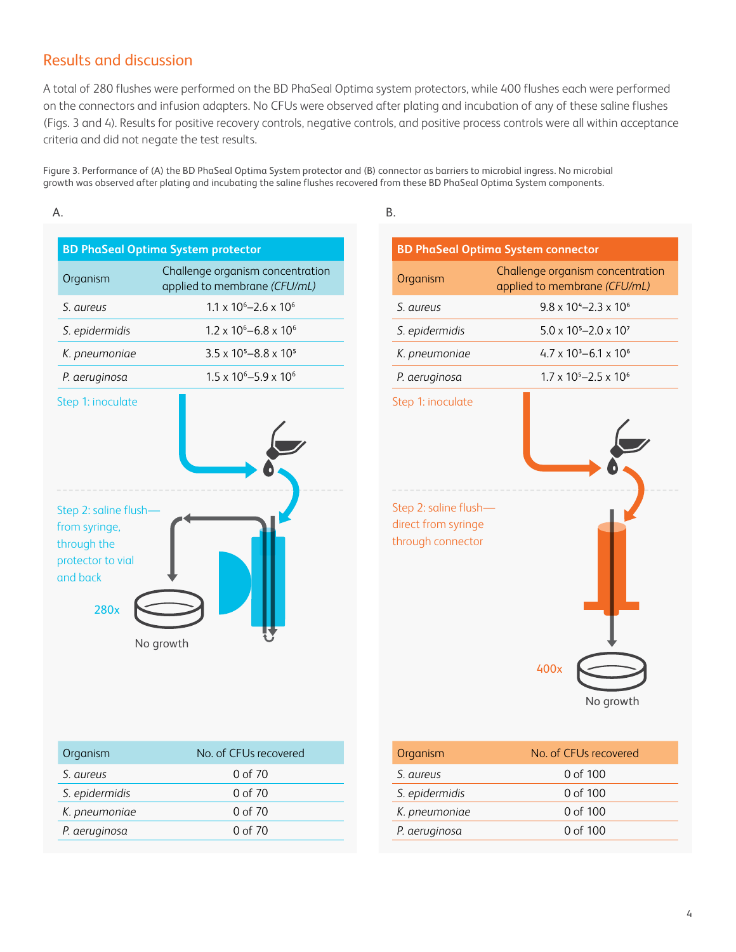#### Results and discussion

A total of 280 flushes were performed on the BD PhaSeal Optima system protectors, while 400 flushes each were performed on the connectors and infusion adapters. No CFUs were observed after plating and incubation of any of these saline flushes (Figs. 3 and 4). Results for positive recovery controls, negative controls, and positive process controls were all within acceptance criteria and did not negate the test results.

Figure 3. Performance of (A) the BD PhaSeal Optima System protector and (B) connector as barriers to microbial ingress. No microbial growth was observed after plating and incubating the saline flushes recovered from these BD PhaSeal Optima System components.



| Organism       | No. of CEUs recovered |
|----------------|-----------------------|
| S. aureus      | 0 of 70               |
| S. epidermidis | 0 of 70               |
| K. pneumoniae  | 0 of 70               |
| P. aeruginosa  | 0 of 70               |
|                |                       |

|                                                                   | <b>BD PhaSeal Optima System connector</b>                        |
|-------------------------------------------------------------------|------------------------------------------------------------------|
| Organism                                                          | Challenge organism concentration<br>applied to membrane (CFU/mL) |
| S. aureus                                                         | $9.8 \times 10^{4} - 2.3 \times 10^{6}$                          |
| S. epidermidis                                                    | $5.0 \times 10^{5} - 2.0 \times 10^{7}$                          |
| K. pneumoniae                                                     | $4.7 \times 10^{3} - 6.1 \times 10^{6}$                          |
| P. aeruginosa                                                     | $1.7 \times 10^{5} - 2.5 \times 10^{6}$                          |
| Step 1: inoculate                                                 |                                                                  |
| Step 2: saline flush-<br>direct from syringe<br>through connector | 400x<br>No growth                                                |

| Organism       | No. of CEUs recovered |
|----------------|-----------------------|
| S. aureus      | 0 of 100              |
| S. epidermidis | 0 of 100              |
| K. pneumoniae  | 0 of 100              |
| P. aeruginosa  | 0 of $100$            |
|                |                       |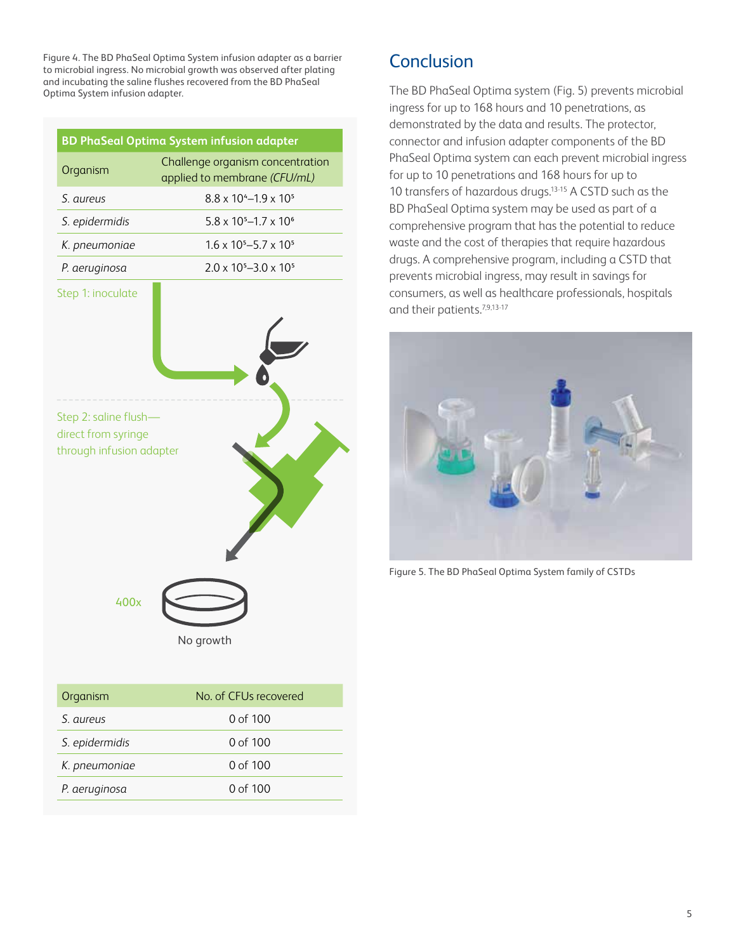Figure 4. The BD PhaSeal Optima System infusion adapter as a barrier to microbial ingress. No microbial growth was observed after plating and incubating the saline flushes recovered from the BD PhaSeal Optima System infusion adapter.

|                                                                          | BD PhaSeal Optima System infusion adapter                        |
|--------------------------------------------------------------------------|------------------------------------------------------------------|
| Organism                                                                 | Challenge organism concentration<br>applied to membrane (CFU/mL) |
| S. aureus                                                                | $8.8 \times 10^{4} - 1.9 \times 10^{5}$                          |
| S. epidermidis                                                           | $5.8 \times 10^{5} - 1.7 \times 10^{6}$                          |
| K. pneumoniae                                                            | $1.6 \times 10^{5} - 5.7 \times 10^{5}$                          |
| P. aeruginosa                                                            | $2.0 \times 10^{5} - 3.0 \times 10^{5}$                          |
| Step 1: inoculate                                                        |                                                                  |
| Step 2: saline flush-<br>direct from syringe<br>through infusion adapter |                                                                  |
| 400x                                                                     |                                                                  |
|                                                                          | No growth                                                        |

| Organism       | No. of CEUs recovered |
|----------------|-----------------------|
| S aureus       | 0 of 100              |
| S. epidermidis | 0 of $100$            |
| K. pneumoniae  | 0 of $100$            |
| P. aeruginosa  | 0 of $100$            |
|                |                       |

# **Conclusion**

The BD PhaSeal Optima system (Fig. 5) prevents microbial ingress for up to 168 hours and 10 penetrations, as demonstrated by the data and results. The protector, connector and infusion adapter components of the BD PhaSeal Optima system can each prevent microbial ingress for up to 10 penetrations and 168 hours for up to 10 transfers of hazardous drugs.13-15 A CSTD such as the BD PhaSeal Optima system may be used as part of a comprehensive program that has the potential to reduce waste and the cost of therapies that require hazardous drugs. A comprehensive program, including a CSTD that prevents microbial ingress, may result in savings for consumers, as well as healthcare professionals, hospitals and their patients.<sup>7,9,13-17</sup>



Figure 5. The BD PhaSeal Optima System family of CSTDs